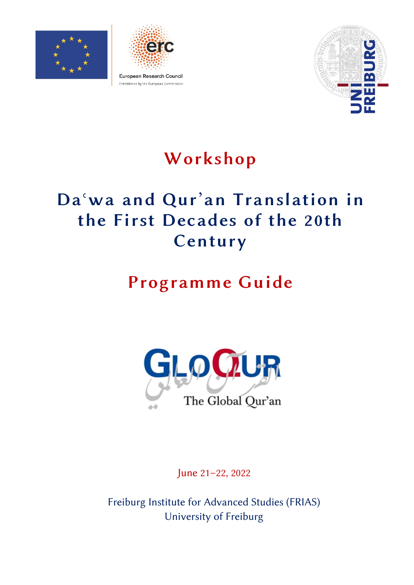





# Workshop

# Daʿwa and Qur'an Translation in the First Decades of the 20th Century

# Programme Guide



June 21–22, 2022

Freiburg Institute for Advanced Studies (FRIAS) University of Freiburg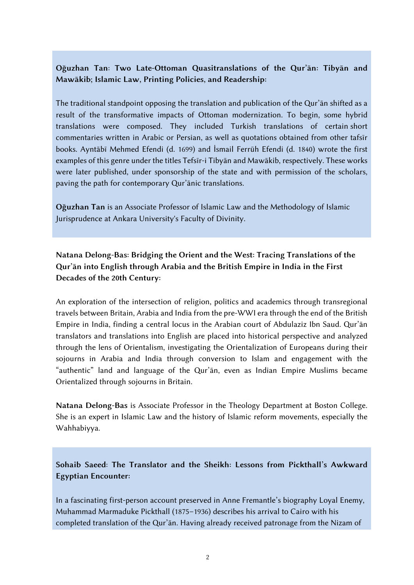#### Oğuzhan Tan: Two Late-Ottoman Quasitranslations of the Qur'ān: Tibyān and Mawākib; Islamic Law, Printing Policies, and Readership:

The traditional standpoint opposing the translation and publication of the Qur'ān shifted as a result of the transformative impacts of Ottoman modernization. To begin, some hybrid translations were composed. They included Turkish translations of certain short commentaries written in Arabic or Persian, as well as quotations obtained from other tafsīr books. Ayntābī Mehmed Efendi (d. 1699) and İsmail Ferrūh Efendi (d. 1840) wrote the first examples of this genre under the titles Tefsīr-i Tibyān and Mawākib, respectively. These works were later published, under sponsorship of the state and with permission of the scholars, paving the path for contemporary Qur'ānic translations.

Oğuzhan Tan is an Associate Professor of Islamic Law and the Methodology of Islamic Jurisprudence at Ankara University's Faculty of Divinity.

## Natana Delong-Bas: Bridging the Orient and the West: Tracing Translations of the Qur'ān into English through Arabia and the British Empire in India in the First Decades of the 20th Century:

An exploration of the intersection of religion, politics and academics through transregional travels between Britain, Arabia and India from the pre-WWI era through the end of the British Empire in India, finding a central locus in the Arabian court of Abdulaziz Ibn Saud. Qur'ān translators and translations into English are placed into historical perspective and analyzed through the lens of Orientalism, investigating the Orientalization of Europeans during their sojourns in Arabia and India through conversion to Islam and engagement with the "authentic" land and language of the Qur'ān, even as Indian Empire Muslims became Orientalized through sojourns in Britain.

Natana Delong-Bas is Associate Professor in the Theology Department at Boston College. She is an expert in Islamic Law and the history of Islamic reform movements, especially the Wahhabiyya.

Sohaib Saeed: The Translator and the Sheikh: Lessons from Pickthall's Awkward Egyptian Encounter:

In a fascinating first-person account preserved in Anne Fremantle's biography Loyal Enemy, Muhammad Marmaduke Pickthall (1875–1936) describes his arrival to Cairo with his completed translation of the Qur'ān. Having already received patronage from the Nizam of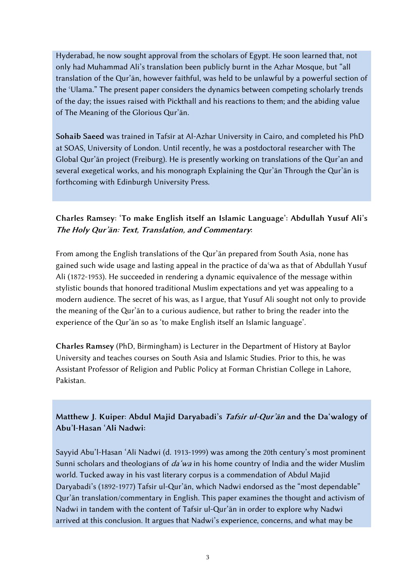Hyderabad, he now sought approval from the scholars of Egypt. He soon learned that, not only had Muhammad Ali's translation been publicly burnt in the Azhar Mosque, but "all translation of the Qur'ān, however faithful, was held to be unlawful by a powerful section of the ʿUlama." The present paper considers the dynamics between competing scholarly trends of the day; the issues raised with Pickthall and his reactions to them; and the abiding value of The Meaning of the Glorious Qur'ān.

Sohaib Saeed was trained in Tafsīr at Al-Azhar University in Cairo, and completed his PhD at SOAS, University of London. Until recently, he was a postdoctoral researcher with The Global Qur'ān project (Freiburg). He is presently working on translations of the Qur'an and several exegetical works, and his monograph Explaining the Qur'ān Through the Qur'ān is forthcoming with Edinburgh University Press.

## Charles Ramsey: 'To make English itself an Islamic Language': Abdullah Yusuf Ali's The Holy Qur'ān: Text, Translation, and Commentary:

From among the English translations of the Qur'ān prepared from South Asia, none has gained such wide usage and lasting appeal in the practice of daʿwa as that of Abdullah Yusuf Ali (1872-1953). He succeeded in rendering a dynamic equivalence of the message within stylistic bounds that honored traditional Muslim expectations and yet was appealing to a modern audience. The secret of his was, as I argue, that Yusuf Ali sought not only to provide the meaning of the Qur'ān to a curious audience, but rather to bring the reader into the experience of the Qur'ān so as 'to make English itself an Islamic language'.

Charles Ramsey (PhD, Birmingham) is Lecturer in the Department of History at Baylor University and teaches courses on South Asia and Islamic Studies. Prior to this, he was Assistant Professor of Religion and Public Policy at Forman Christian College in Lahore, Pakistan.

Matthew J. Kuiper: Abdul Majid Daryabadi's Tafsir ul-Qur'an and the Da'walogy of Abu'l-Hasan 'Ali Nadwi:

Sayyid Abu'l-Hasan 'Ali Nadwi (d. 1913-1999) was among the 20th century's most prominent Sunni scholars and theologians of *da'wa* in his home country of India and the wider Muslim world. Tucked away in his vast literary corpus is a commendation of Abdul Majid Daryabadi's (1892-1977) Tafsir ul-Qur'ān, which Nadwi endorsed as the "most dependable" Qur'ān translation/commentary in English. This paper examines the thought and activism of Nadwi in tandem with the content of Tafsir ul-Qur'ān in order to explore why Nadwi arrived at this conclusion. It argues that Nadwi's experience, concerns, and what may be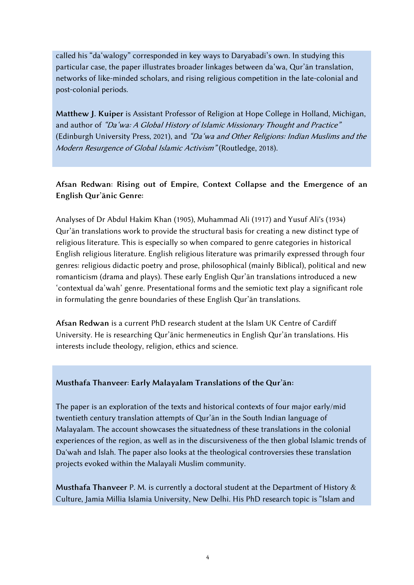called his "da'walogy" corresponded in key ways to Daryabadi's own. In studying this particular case, the paper illustrates broader linkages between da'wa, Qur'ān translation, networks of like-minded scholars, and rising religious competition in the late-colonial and post-colonial periods.

Matthew J. Kuiper is Assistant Professor of Religion at Hope College in Holland, Michigan, and author of "Da'wa: A Global History of Islamic Missionary Thought and Practice" (Edinburgh University Press, 2021), and "Da'wa and Other Religions: Indian Muslims and the Modern Resurgence of Global Islamic Activism" (Routledge, 2018).

### Afsan Redwan: Rising out of Empire, Context Collapse and the Emergence of an English Qur'ānic Genre:

Analyses of Dr Abdul Hakim Khan (1905), Muhammad Ali (1917) and Yusuf Ali's (1934) Qur'ān translations work to provide the structural basis for creating a new distinct type of religious literature. This is especially so when compared to genre categories in historical English religious literature. English religious literature was primarily expressed through four genres: religious didactic poetry and prose, philosophical (mainly Biblical), political and new romanticism (drama and plays). These early English Qur'ān translations introduced a new 'contextual da'wah' genre. Presentational forms and the semiotic text play a significant role in formulating the genre boundaries of these English Qur'ān translations.

Afsan Redwan is a current PhD research student at the Islam UK Centre of Cardiff University. He is researching Qur'ānic hermeneutics in English Qur'ān translations. His interests include theology, religion, ethics and science.

#### Musthafa Thanveer: Early Malayalam Translations of the Qur'ān:

The paper is an exploration of the texts and historical contexts of four major early/mid twentieth century translation attempts of Qur'ān in the South Indian language of Malayalam. The account showcases the situatedness of these translations in the colonial experiences of the region, as well as in the discursiveness of the then global Islamic trends of Da'wah and Islah. The paper also looks at the theological controversies these translation projects evoked within the Malayali Muslim community.

Musthafa Thanveer P. M. is currently a doctoral student at the Department of History & Culture, Jamia Millia Islamia University, New Delhi. His PhD research topic is "Islam and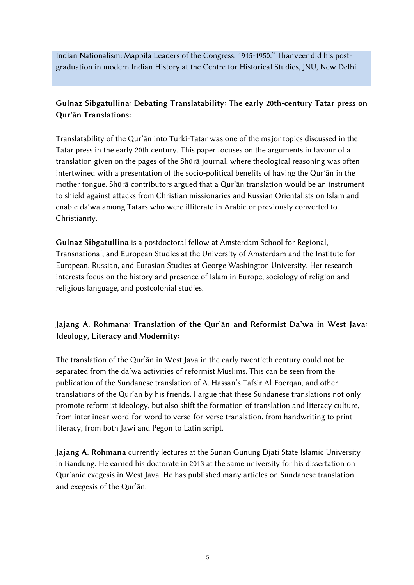Indian Nationalism: Mappila Leaders of the Congress, 1915-1950." Thanveer did his postgraduation in modern Indian History at the Centre for Historical Studies, JNU, New Delhi.

#### Gulnaz Sibgatullina: Debating Translatability: The early 20th-century Tatar press on Qurʾān Translations:

Translatability of the Qur'ān into Turki-Tatar was one of the major topics discussed in the Tatar press in the early 20th century. This paper focuses on the arguments in favour of a translation given on the pages of the Shūrā journal, where theological reasoning was often intertwined with a presentation of the socio-political benefits of having the Qur'ān in the mother tongue. Shūrā contributors argued that a Qur'ān translation would be an instrument to shield against attacks from Christian missionaries and Russian Orientalists on Islam and enable daʿwa among Tatars who were illiterate in Arabic or previously converted to Christianity.

Gulnaz Sibgatullina is a postdoctoral fellow at Amsterdam School for Regional, Transnational, and European Studies at the University of Amsterdam and the Institute for European, Russian, and Eurasian Studies at George Washington University. Her research interests focus on the history and presence of Islam in Europe, sociology of religion and religious language, and postcolonial studies.

### Jajang A. Rohmana: Translation of the Qur'ān and Reformist Da'wa in West Java: Ideology, Literacy and Modernity:

The translation of the Qur'ān in West Java in the early twentieth century could not be separated from the da'wa activities of reformist Muslims. This can be seen from the publication of the Sundanese translation of A. Hassan's Tafsir Al-Foerqan, and other translations of the Qur'ān by his friends. I argue that these Sundanese translations not only promote reformist ideology, but also shift the formation of translation and literacy culture, from interlinear word-for-word to verse-for-verse translation, from handwriting to print literacy, from both Jawi and Pegon to Latin script.

Jajang A. Rohmana currently lectures at the Sunan Gunung Djati State Islamic University in Bandung. He earned his doctorate in 2013 at the same university for his dissertation on Qur'anic exegesis in West Java. He has published many articles on Sundanese translation and exegesis of the Qur'ān.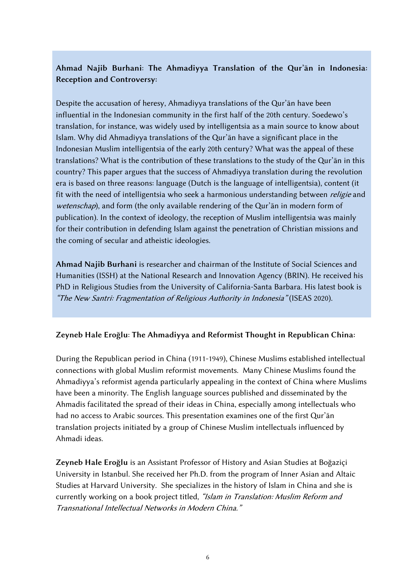### Ahmad Najib Burhani: The Ahmadiyya Translation of the Qur'ān in Indonesia: Reception and Controversy:

Despite the accusation of heresy, Ahmadiyya translations of the Qur'ān have been influential in the Indonesian community in the first half of the 20th century. Soedewo's translation, for instance, was widely used by intelligentsia as a main source to know about Islam. Why did Ahmadiyya translations of the Qur'ān have a significant place in the Indonesian Muslim intelligentsia of the early 20th century? What was the appeal of these translations? What is the contribution of these translations to the study of the Qur'ān in this country? This paper argues that the success of Ahmadiyya translation during the revolution era is based on three reasons: language (Dutch is the language of intelligentsia), content (it fit with the need of intelligentsia who seek a harmonious understanding between *religie* and wetenschap), and form (the only available rendering of the Qur'an in modern form of publication). In the context of ideology, the reception of Muslim intelligentsia was mainly for their contribution in defending Islam against the penetration of Christian missions and the coming of secular and atheistic ideologies.

Ahmad Najib Burhani is researcher and chairman of the Institute of Social Sciences and Humanities (ISSH) at the National Research and Innovation Agency (BRIN). He received his PhD in Religious Studies from the University of California-Santa Barbara. His latest book is "The New Santri: Fragmentation of Religious Authority in Indonesia" (ISEAS 2020).

#### Zeyneb Hale Eroğlu: The Ahmadiyya and Reformist Thought in Republican China:

During the Republican period in China (1911-1949), Chinese Muslims established intellectual connections with global Muslim reformist movements. Many Chinese Muslims found the Ahmadiyya's reformist agenda particularly appealing in the context of China where Muslims have been a minority. The English language sources published and disseminated by the Ahmadis facilitated the spread of their ideas in China, especially among intellectuals who had no access to Arabic sources. This presentation examines one of the first Qur'ān translation projects initiated by a group of Chinese Muslim intellectuals influenced by Ahmadi ideas.

Zeyneb Hale Eroğlu is an Assistant Professor of History and Asian Studies at Boğaziçi University in Istanbul. She received her Ph.D. from the program of Inner Asian and Altaic Studies at Harvard University. She specializes in the history of Islam in China and she is currently working on a book project titled, "Islam in Translation: Muslim Reform and Transnational Intellectual Networks in Modern China."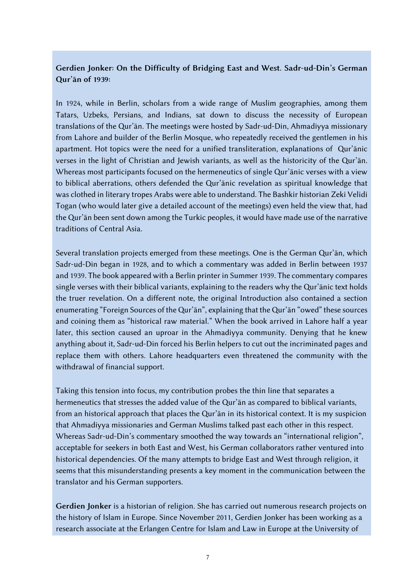#### Gerdien Jonker: On the Difficulty of Bridging East and West. Sadr-ud-Din's German Qur'ān of 1939:

In 1924, while in Berlin, scholars from a wide range of Muslim geographies, among them Tatars, Uzbeks, Persians, and Indians, sat down to discuss the necessity of European translations of the Qur'ān. The meetings were hosted by Sadr-ud-Din, Ahmadiyya missionary from Lahore and builder of the Berlin Mosque, who repeatedly received the gentlemen in his apartment. Hot topics were the need for a unified transliteration, explanations of Qur'ānic verses in the light of Christian and Jewish variants, as well as the historicity of the Qur'ān. Whereas most participants focused on the hermeneutics of single Qur'ānic verses with a view to biblical aberrations, others defended the Qur'ānic revelation as spiritual knowledge that was clothed in literary tropes Arabs were able to understand. The Bashkir historian Zeki Velidi Togan (who would later give a detailed account of the meetings) even held the view that, had the Qur'ān been sent down among the Turkic peoples, it would have made use of the narrative traditions of Central Asia.

Several translation projects emerged from these meetings. One is the German Qur'ān, which Sadr-ud-Din began in 1928, and to which a commentary was added in Berlin between 1937 and 1939. The book appeared with a Berlin printer in Summer 1939. The commentary compares single verses with their biblical variants, explaining to the readers why the Qur'ānic text holds the truer revelation. On a different note, the original Introduction also contained a section enumerating "Foreign Sources of the Qur'ān", explaining that the Qur'ān "owed" these sources and coining them as "historical raw material." When the book arrived in Lahore half a year later, this section caused an uproar in the Ahmadiyya community. Denying that he knew anything about it, Sadr-ud-Din forced his Berlin helpers to cut out the incriminated pages and replace them with others. Lahore headquarters even threatened the community with the withdrawal of financial support.

Taking this tension into focus, my contribution probes the thin line that separates a hermeneutics that stresses the added value of the Qur'ān as compared to biblical variants, from an historical approach that places the Qur'ān in its historical context. It is my suspicion that Ahmadiyya missionaries and German Muslims talked past each other in this respect. Whereas Sadr-ud-Din's commentary smoothed the way towards an "international religion", acceptable for seekers in both East and West, his German collaborators rather ventured into historical dependencies. Of the many attempts to bridge East and West through religion, it seems that this misunderstanding presents a key moment in the communication between the translator and his German supporters.

Gerdien Jonker is a historian of religion. She has carried out numerous research projects on the history of Islam in Europe. Since November 2011, Gerdien Jonker has been working as a research associate at the Erlangen Centre for Islam and Law in Europe at the University of